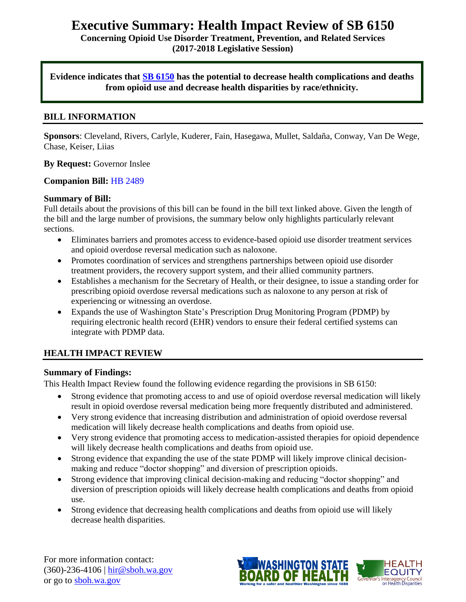# **Executive Summary: Health Impact Review of SB 6150**

**Concerning Opioid Use Disorder Treatment, Prevention, and Related Services (2017-2018 Legislative Session)**

**Evidence indicates that [SB 6150](http://lawfilesext.leg.wa.gov/biennium/2017-18/Pdf/Bills/Senate%20Bills/6150.pdf) has the potential to decrease health complications and deaths from opioid use and decrease health disparities by race/ethnicity.** 

#### **BILL INFORMATION**

**Sponsors**: Cleveland, Rivers, Carlyle, Kuderer, Fain, Hasegawa, Mullet, Saldaña, Conway, Van De Wege, Chase, Keiser, Liias

#### **By Request:** Governor Inslee

#### **Companion Bill:** [HB 2489](http://lawfilesext.leg.wa.gov/biennium/2017-18/Pdf/Bills/House%20Bills/2489.pdf)

#### **Summary of Bill:**

Full details about the provisions of this bill can be found in the bill text linked above. Given the length of the bill and the large number of provisions, the summary below only highlights particularly relevant sections.

- Eliminates barriers and promotes access to evidence-based opioid use disorder treatment services and opioid overdose reversal medication such as naloxone.
- Promotes coordination of services and strengthens partnerships between opioid use disorder treatment providers, the recovery support system, and their allied community partners.
- Establishes a mechanism for the Secretary of Health, or their designee, to issue a standing order for prescribing opioid overdose reversal medications such as naloxone to any person at risk of experiencing or witnessing an overdose.
- Expands the use of Washington State's Prescription Drug Monitoring Program (PDMP) by requiring electronic health record (EHR) vendors to ensure their federal certified systems can integrate with PDMP data.

## **HEALTH IMPACT REVIEW**

#### **Summary of Findings:**

This Health Impact Review found the following evidence regarding the provisions in SB 6150:

- Strong evidence that promoting access to and use of opioid overdose reversal medication will likely result in opioid overdose reversal medication being more frequently distributed and administered.
- Very strong evidence that increasing distribution and administration of opioid overdose reversal medication will likely decrease health complications and deaths from opioid use.
- Very strong evidence that promoting access to medication-assisted therapies for opioid dependence will likely decrease health complications and deaths from opioid use.
- Strong evidence that expanding the use of the state PDMP will likely improve clinical decisionmaking and reduce "doctor shopping" and diversion of prescription opioids.
- Strong evidence that improving clinical decision-making and reducing "doctor shopping" and diversion of prescription opioids will likely decrease health complications and deaths from opioid use.
- Strong evidence that decreasing health complications and deaths from opioid use will likely decrease health disparities.

For more information contact: (360)-236-4106 | [hir@sboh.wa.gov](mailto:hir@sboh.wa.gov) or go to [sboh.wa.gov](http://sboh.wa.gov/)

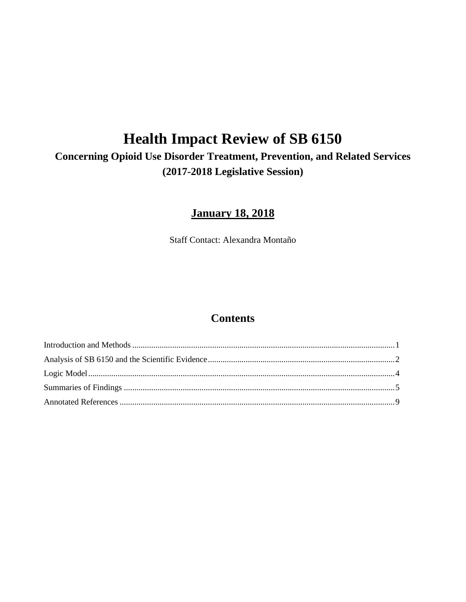# **Health Impact Review of SB 6150**

## **Concerning Opioid Use Disorder Treatment, Prevention, and Related Services (2017-2018 Legislative Session)**

## **January 18, 2018**

Staff Contact: Alexandra Montaño

## **Contents**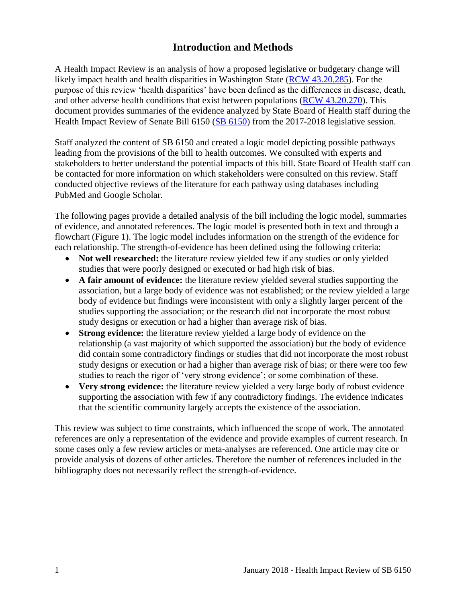## **Introduction and Methods**

<span id="page-2-0"></span>A Health Impact Review is an analysis of how a proposed legislative or budgetary change will likely impact health and health disparities in Washington State [\(RCW 43.20.285\)](http://apps.leg.wa.gov/rcw/default.aspx?cite=43.20.285). For the purpose of this review 'health disparities' have been defined as the differences in disease, death, and other adverse health conditions that exist between populations [\(RCW 43.20.270\)](http://apps.leg.wa.gov/rcw/default.aspx?cite=43.20.270). This document provides summaries of the evidence analyzed by State Board of Health staff during the Health Impact Review of Senate Bill 6150 [\(SB 6150\)](http://lawfilesext.leg.wa.gov/biennium/2017-18/Pdf/Bills/Senate%20Bills/6150.pdf) from the 2017-2018 legislative session.

Staff analyzed the content of SB 6150 and created a logic model depicting possible pathways leading from the provisions of the bill to health outcomes. We consulted with experts and stakeholders to better understand the potential impacts of this bill. State Board of Health staff can be contacted for more information on which stakeholders were consulted on this review. Staff conducted objective reviews of the literature for each pathway using databases including PubMed and Google Scholar.

The following pages provide a detailed analysis of the bill including the logic model, summaries of evidence, and annotated references. The logic model is presented both in text and through a flowchart (Figure 1). The logic model includes information on the strength of the evidence for each relationship. The strength-of-evidence has been defined using the following criteria:

- Not well researched: the literature review yielded few if any studies or only yielded studies that were poorly designed or executed or had high risk of bias.
- **A fair amount of evidence:** the literature review yielded several studies supporting the association, but a large body of evidence was not established; or the review yielded a large body of evidence but findings were inconsistent with only a slightly larger percent of the studies supporting the association; or the research did not incorporate the most robust study designs or execution or had a higher than average risk of bias.
- **Strong evidence:** the literature review yielded a large body of evidence on the relationship (a vast majority of which supported the association) but the body of evidence did contain some contradictory findings or studies that did not incorporate the most robust study designs or execution or had a higher than average risk of bias; or there were too few studies to reach the rigor of 'very strong evidence'; or some combination of these.
- **Very strong evidence:** the literature review yielded a very large body of robust evidence supporting the association with few if any contradictory findings. The evidence indicates that the scientific community largely accepts the existence of the association.

This review was subject to time constraints, which influenced the scope of work. The annotated references are only a representation of the evidence and provide examples of current research. In some cases only a few review articles or meta-analyses are referenced. One article may cite or provide analysis of dozens of other articles. Therefore the number of references included in the bibliography does not necessarily reflect the strength-of-evidence.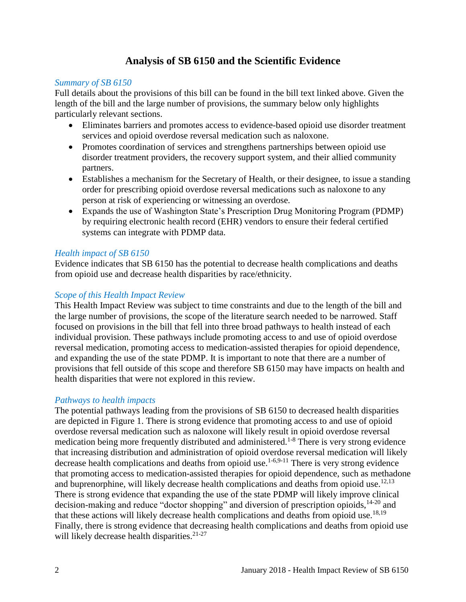## **Analysis of SB 6150 and the Scientific Evidence**

#### <span id="page-3-0"></span>*Summary of SB 6150*

Full details about the provisions of this bill can be found in the bill text linked above. Given the length of the bill and the large number of provisions, the summary below only highlights particularly relevant sections.

- Eliminates barriers and promotes access to evidence-based opioid use disorder treatment services and opioid overdose reversal medication such as naloxone.
- Promotes coordination of services and strengthens partnerships between opioid use disorder treatment providers, the recovery support system, and their allied community partners.
- Establishes a mechanism for the Secretary of Health, or their designee, to issue a standing order for prescribing opioid overdose reversal medications such as naloxone to any person at risk of experiencing or witnessing an overdose.
- Expands the use of Washington State's Prescription Drug Monitoring Program (PDMP) by requiring electronic health record (EHR) vendors to ensure their federal certified systems can integrate with PDMP data.

#### *Health impact of SB 6150*

Evidence indicates that SB 6150 has the potential to decrease health complications and deaths from opioid use and decrease health disparities by race/ethnicity.

#### *Scope of this Health Impact Review*

This Health Impact Review was subject to time constraints and due to the length of the bill and the large number of provisions, the scope of the literature search needed to be narrowed. Staff focused on provisions in the bill that fell into three broad pathways to health instead of each individual provision. These pathways include promoting access to and use of opioid overdose reversal medication, promoting access to medication-assisted therapies for opioid dependence, and expanding the use of the state PDMP. It is important to note that there are a number of provisions that fell outside of this scope and therefore SB 6150 may have impacts on health and health disparities that were not explored in this review.

#### *Pathways to health impacts*

The potential pathways leading from the provisions of SB 6150 to decreased health disparities are depicted in Figure 1. There is strong evidence that promoting access to and use of opioid overdose reversal medication such as naloxone will likely result in opioid overdose reversal medication being more frequently distributed and administered.<sup>1-8</sup> There is very strong evidence that increasing distribution and administration of opioid overdose reversal medication will likely decrease health complications and deaths from opioid use.<sup>[1-6,](#page-10-0)[9-11](#page-13-0)</sup> There is very strong evidence that promoting access to medication-assisted therapies for opioid dependence, such as methadone and buprenorphine, will likely decrease health complications and deaths from opioid use.<sup>[12](#page-14-0)[,13](#page-14-1)</sup> There is strong evidence that expanding the use of the state PDMP will likely improve clinical decision-making and reduce "doctor shopping" and diversion of prescription opioids, <sup>14-20</sup> and that these actions will likely decrease health complications and deaths from opioid use.<sup>[18,](#page-16-0)[19](#page-17-0)</sup> Finally, there is strong evidence that decreasing health complications and deaths from opioid use will likely decrease health disparities.<sup>21-27</sup>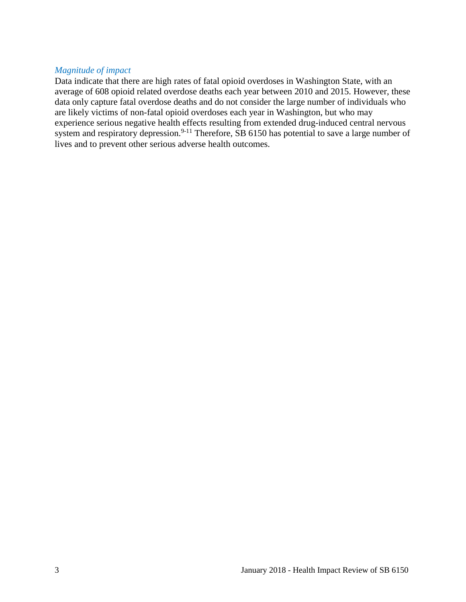#### *Magnitude of impact*

Data indicate that there are high rates of fatal opioid overdoses in Washington State, with an average of 608 opioid related overdose deaths each year between 2010 and 2015. However, these data only capture fatal overdose deaths and do not consider the large number of individuals who are likely victims of non-fatal opioid overdoses each year in Washington, but who may experience serious negative health effects resulting from extended drug-induced central nervous system and respiratory depression.<sup>9-11</sup> Therefore, SB 6150 has potential to save a large number of lives and to prevent other serious adverse health outcomes.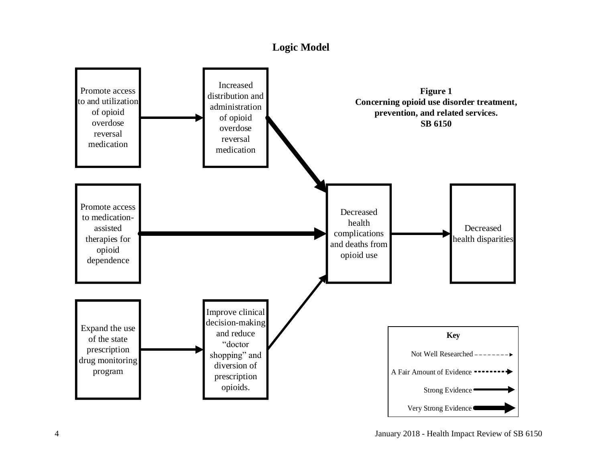## **Logic Model**

<span id="page-5-0"></span>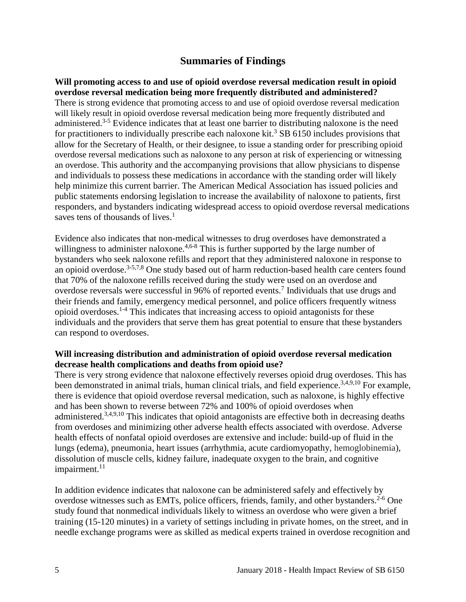### **Summaries of Findings**

<span id="page-6-0"></span>**Will promoting access to and use of opioid overdose reversal medication result in opioid overdose reversal medication being more frequently distributed and administered?** There is strong evidence that promoting access to and use of opioid overdose reversal medication will likely result in opioid overdose reversal medication being more frequently distributed and administered.<sup>3-5</sup> Evidence indicates that at least one barrier to distributing naloxone is the need for practitioners to individually prescribe each naloxone kit.<sup>3</sup> SB 6150 includes provisions that allow for the Secretary of Health, or their designee, to issue a standing order for prescribing opioid overdose reversal medications such as naloxone to any person at risk of experiencing or witnessing an overdose. This authority and the accompanying provisions that allow physicians to dispense and individuals to possess these medications in accordance with the standing order will likely help minimize this current barrier. The American Medical Association has issued policies and public statements endorsing legislation to increase the availability of naloxone to patients, first responders, and bystanders indicating widespread access to opioid overdose reversal medications saves tens of thousands of lives.<sup>1</sup>

Evidence also indicates that non-medical witnesses to drug overdoses have demonstrated a willingness to administer naloxone.<sup>[4,](#page-11-0)[6-8](#page-11-1)</sup> This is further supported by the large number of bystanders who seek naloxone refills and report that they administered naloxone in response to an opioid overdose.<sup>[3-5](#page-10-1)[,7](#page-12-0)[,8](#page-12-1)</sup> One study based out of harm reduction-based health care centers found that 70% of the naloxone refills received during the study were used on an overdose and overdose reversals were successful in 96% of reported events.<sup>7</sup> Individuals that use drugs and their friends and family, emergency medical personnel, and police officers frequently witness opioid overdoses.1-4 This indicates that increasing access to opioid antagonists for these individuals and the providers that serve them has great potential to ensure that these bystanders can respond to overdoses.

#### **Will increasing distribution and administration of opioid overdose reversal medication decrease health complications and deaths from opioid use?**

There is very strong evidence that naloxone effectively reverses opioid drug overdoses. This has been demonstrated in animal trials, human clinical trials, and field experience.<sup>[3,](#page-10-1)[4,](#page-11-0)[9,](#page-13-0)[10](#page-13-1)</sup> For example, there is evidence that opioid overdose reversal medication, such as naloxone, is highly effective and has been shown to reverse between 72% and 100% of opioid overdoses when administered.<sup>[3](#page-10-1)[,4](#page-11-0)[,9](#page-13-0)[,10](#page-13-1)</sup> This indicates that opioid antagonists are effective both in decreasing deaths from overdoses and minimizing other adverse health effects associated with overdose. Adverse health effects of nonfatal opioid overdoses are extensive and include: build-up of fluid in the lungs (edema), pneumonia, heart issues (arrhythmia, acute cardiomyopathy, hemoglobinemia), dissolution of muscle cells, kidney failure, inadequate oxygen to the brain, and cognitive impairment. $11$ 

In addition evidence indicates that naloxone can be administered safely and effectively by overdose witnesses such as EMTs, police officers, friends, family, and other bystanders.<sup>2-6</sup> One study found that nonmedical individuals likely to witness an overdose who were given a brief training (15-120 minutes) in a variety of settings including in private homes, on the street, and in needle exchange programs were as skilled as medical experts trained in overdose recognition and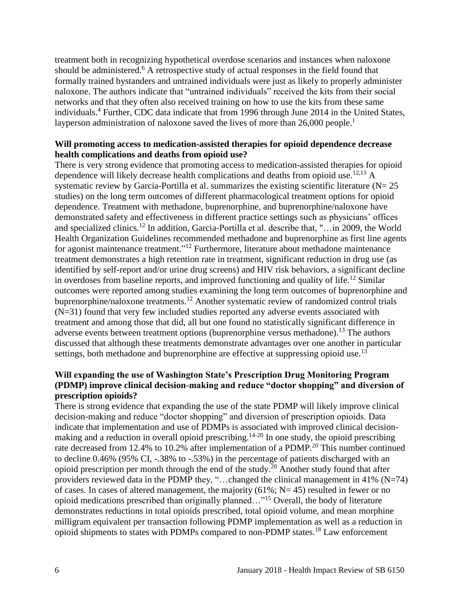treatment both in recognizing hypothetical overdose scenarios and instances when naloxone should be administered.<sup>6</sup> A retrospective study of actual responses in the field found that formally trained bystanders and untrained individuals were just as likely to properly administer naloxone. The authors indicate that "untrained individuals" received the kits from their social networks and that they often also received training on how to use the kits from these same individuals.<sup>4</sup> Further, CDC data indicate that from 1996 through June 2014 in the United States, layperson administration of naloxone saved the lives of more than 26,000 people.<sup>1</sup>

#### **Will promoting access to medication-assisted therapies for opioid dependence decrease health complications and deaths from opioid use?**

There is very strong evidence that promoting access to medication-assisted therapies for opioid dependence will likely decrease health complications and deaths from opioid use.<sup>[12,](#page-14-0)[13](#page-14-1)</sup> A systematic review by Garcia-Portilla et al. summarizes the existing scientific literature  $(N= 25)$ studies) on the long term outcomes of different pharmacological treatment options for opioid dependence. Treatment with methadone, buprenorphine, and buprenorphine/naloxone have demonstrated safety and effectiveness in different practice settings such as physicians' offices and specialized clinics.<sup>12</sup> In addition, Garcia-Portilla et al. describe that, "... in 2009, the World Health Organization Guidelines recommended methadone and buprenorphine as first line agents for agonist maintenance treatment."<sup>12</sup> Furthermore, literature about methadone maintenance treatment demonstrates a high retention rate in treatment, significant reduction in drug use (as identified by self-report and/or urine drug screens) and HIV risk behaviors, a significant decline in overdoses from baseline reports, and improved functioning and quality of life. <sup>12</sup> Similar outcomes were reported among studies examining the long term outcomes of buprenorphine and buprenorphine/naloxone treatments.<sup>12</sup> Another systematic review of randomized control trials (N=31) found that very few included studies reported any adverse events associated with treatment and among those that did, all but one found no statistically significant difference in adverse events between treatment options (buprenorphine versus methadone).<sup>13</sup> The authors discussed that although these treatments demonstrate advantages over one another in particular settings, both methadone and buprenorphine are effective at suppressing opioid use.<sup>13</sup>

#### **Will expanding the use of Washington State's Prescription Drug Monitoring Program (PDMP) improve clinical decision-making and reduce "doctor shopping" and diversion of prescription opioids?**

There is strong evidence that expanding the use of the state PDMP will likely improve clinical decision-making and reduce "doctor shopping" and diversion of prescription opioids. Data indicate that implementation and use of PDMPs is associated with improved clinical decisionmaking and a reduction in overall opioid prescribing.<sup>14-20</sup> In one study, the opioid prescribing rate decreased from 12.4% to 10.2% after implementation of a PDMP.<sup>20</sup> This number continued to decline 0.46% (95% CI, -.38% to -.53%) in the percentage of patients discharged with an opioid prescription per month through the end of the study.<sup>20</sup> Another study found that after providers reviewed data in the PDMP they, "…changed the clinical management in 41% (N=74) of cases. In cases of altered management, the majority  $(61\%; N=45)$  resulted in fewer or no opioid medications prescribed than originally planned…"<sup>15</sup> Overall, the body of literature demonstrates reductions in total opioids prescribed, total opioid volume, and mean morphine milligram equivalent per transaction following PDMP implementation as well as a reduction in opioid shipments to states with PDMPs compared to non-PDMP states.<sup>18</sup> Law enforcement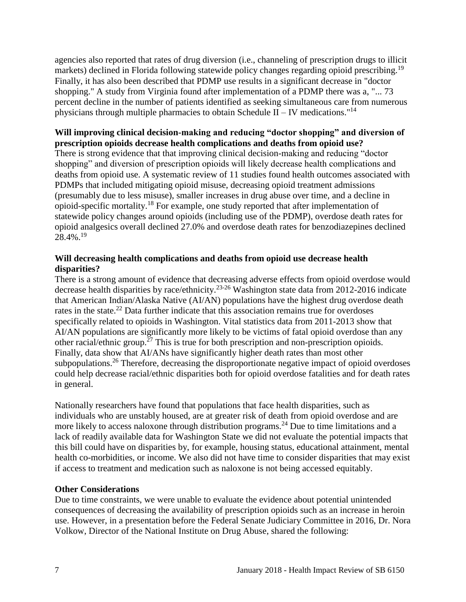agencies also reported that rates of drug diversion (i.e., channeling of prescription drugs to illicit markets) declined in Florida following statewide policy changes regarding opioid prescribing.<sup>19</sup> Finally, it has also been described that PDMP use results in a significant decrease in "doctor shopping." A study from Virginia found after implementation of a PDMP there was a, "... 73 percent decline in the number of patients identified as seeking simultaneous care from numerous physicians through multiple pharmacies to obtain Schedule II – IV medications."<sup>14</sup>

#### **Will improving clinical decision-making and reducing "doctor shopping" and diversion of prescription opioids decrease health complications and deaths from opioid use?**

There is strong evidence that that improving clinical decision-making and reducing "doctor shopping" and diversion of prescription opioids will likely decrease health complications and deaths from opioid use. A systematic review of 11 studies found health outcomes associated with PDMPs that included mitigating opioid misuse, decreasing opioid treatment admissions (presumably due to less misuse), smaller increases in drug abuse over time, and a decline in opioid-specific mortality.<sup>18</sup> For example, one study reported that after implementation of statewide policy changes around opioids (including use of the PDMP), overdose death rates for opioid analgesics overall declined 27.0% and overdose death rates for benzodiazepines declined 28.4%. 19

#### **Will decreasing health complications and deaths from opioid use decrease health disparities?**

There is a strong amount of evidence that decreasing adverse effects from opioid overdose would decrease health disparities by race/ethnicity.23-26 Washington state data from 2012-2016 indicate that American Indian/Alaska Native (AI/AN) populations have the highest drug overdose death rates in the state.<sup>22</sup> Data further indicate that this association remains true for overdoses specifically related to opioids in Washington. Vital statistics data from 2011-2013 show that AI/AN populations are significantly more likely to be victims of fatal opioid overdose than any other racial/ethnic group.<sup>27</sup> This is true for both prescription and non-prescription opioids. Finally, data show that AI/ANs have significantly higher death rates than most other subpopulations.<sup>26</sup> Therefore, decreasing the disproportionate negative impact of opioid overdoses could help decrease racial/ethnic disparities both for opioid overdose fatalities and for death rates in general.

Nationally researchers have found that populations that face health disparities, such as individuals who are unstably housed, are at greater risk of death from opioid overdose and are more likely to access naloxone through distribution programs.<sup>24</sup> Due to time limitations and a lack of readily available data for Washington State we did not evaluate the potential impacts that this bill could have on disparities by, for example, housing status, educational attainment, mental health co-morbidities, or income. We also did not have time to consider disparities that may exist if access to treatment and medication such as naloxone is not being accessed equitably.

#### **Other Considerations**

Due to time constraints, we were unable to evaluate the evidence about potential unintended consequences of decreasing the availability of prescription opioids such as an increase in heroin use. However, in a presentation before the Federal Senate Judiciary Committee in 2016, Dr. Nora Volkow, Director of the National Institute on Drug Abuse, shared the following: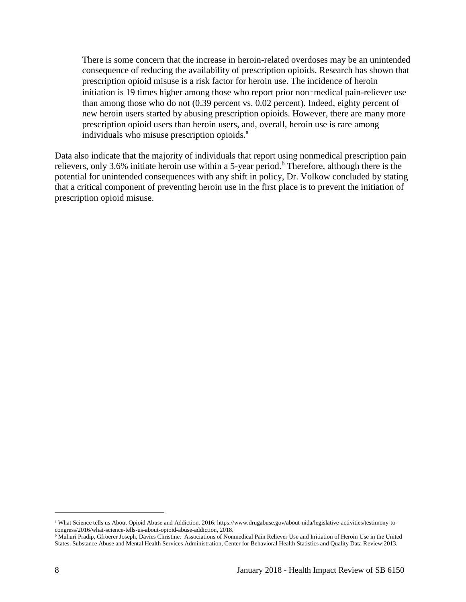There is some concern that the increase in heroin-related overdoses may be an unintended consequence of reducing the availability of prescription opioids. Research has shown that prescription opioid misuse is a risk factor for heroin use. The incidence of heroin initiation is 19 times higher among those who report prior non-medical pain-reliever use than among those who do not (0.39 percent vs. 0.02 percent). Indeed, eighty percent of new heroin users started by abusing prescription opioids. However, there are many more prescription opioid users than heroin users, and, overall, heroin use is rare among individuals who misuse prescription opioids.<sup>a</sup>

Data also indicate that the majority of individuals that report using nonmedical prescription pain relievers, only 3.6% initiate heroin use within a 5-year period.<sup>b</sup> Therefore, although there is the potential for unintended consequences with any shift in policy, Dr. Volkow concluded by stating that a critical component of preventing heroin use in the first place is to prevent the initiation of prescription opioid misuse.

l

<sup>a</sup> What Science tells us About Opioid Abuse and Addiction. 2016; https://www.drugabuse.gov/about-nida/legislative-activities/testimony-tocongress/2016/what-science-tells-us-about-opioid-abuse-addiction, 2018.

**b Muhuri Pradip, Gfroerer Joseph, Davies Christine.** Associations of Nonmedical Pain Reliever Use and Initiation of Heroin Use in the United States. Substance Abuse and Mental Health Services Administration, Center for Behavioral Health Statistics and Quality Data Review;2013.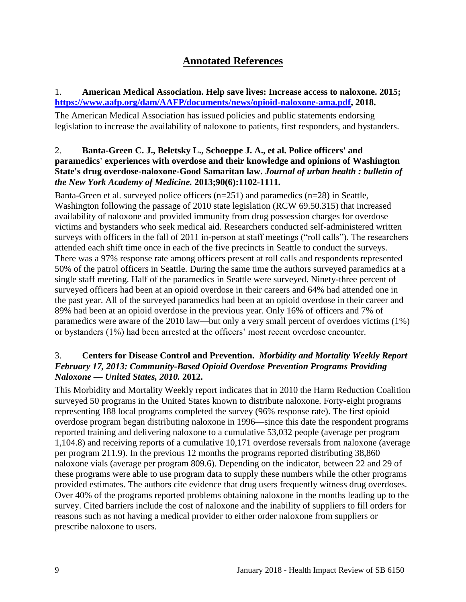## **Annotated References**

#### <span id="page-10-0"></span>1. **American Medical Association. Help save lives: Increase access to naloxone. 2015; [https://www.aafp.org/dam/AAFP/documents/news/opioid-naloxone-ama.pdf,](https://www.aafp.org/dam/AAFP/documents/news/opioid-naloxone-ama.pdf) 2018.**

The American Medical Association has issued policies and public statements endorsing legislation to increase the availability of naloxone to patients, first responders, and bystanders.

#### 2. **Banta-Green C. J., Beletsky L., Schoeppe J. A., et al. Police officers' and paramedics' experiences with overdose and their knowledge and opinions of Washington State's drug overdose-naloxone-Good Samaritan law.** *Journal of urban health : bulletin of the New York Academy of Medicine.* **2013;90(6):1102-1111.**

Banta-Green et al. surveyed police officers (n=251) and paramedics (n=28) in Seattle, Washington following the passage of 2010 state legislation (RCW 69.50.315) that increased availability of naloxone and provided immunity from drug possession charges for overdose victims and bystanders who seek medical aid. Researchers conducted self-administered written surveys with officers in the fall of 2011 in-person at staff meetings ("roll calls"). The researchers attended each shift time once in each of the five precincts in Seattle to conduct the surveys. There was a 97% response rate among officers present at roll calls and respondents represented 50% of the patrol officers in Seattle. During the same time the authors surveyed paramedics at a single staff meeting. Half of the paramedics in Seattle were surveyed. Ninety-three percent of surveyed officers had been at an opioid overdose in their careers and 64% had attended one in the past year. All of the surveyed paramedics had been at an opioid overdose in their career and 89% had been at an opioid overdose in the previous year. Only 16% of officers and 7% of paramedics were aware of the 2010 law—but only a very small percent of overdoes victims (1%) or bystanders (1%) had been arrested at the officers' most recent overdose encounter.

#### <span id="page-10-1"></span>3. **Centers for Disease Control and Prevention.** *Morbidity and Mortality Weekly Report February 17, 2013: Community-Based Opioid Overdose Prevention Programs Providing Naloxone — United States, 2010.* **2012.**

This Morbidity and Mortality Weekly report indicates that in 2010 the Harm Reduction Coalition surveyed 50 programs in the United States known to distribute naloxone. Forty-eight programs representing 188 local programs completed the survey (96% response rate). The first opioid overdose program began distributing naloxone in 1996—since this date the respondent programs reported training and delivering naloxone to a cumulative 53,032 people (average per program 1,104.8) and receiving reports of a cumulative 10,171 overdose reversals from naloxone (average per program 211.9). In the previous 12 months the programs reported distributing 38,860 naloxone vials (average per program 809.6). Depending on the indicator, between 22 and 29 of these programs were able to use program data to supply these numbers while the other programs provided estimates. The authors cite evidence that drug users frequently witness drug overdoses. Over 40% of the programs reported problems obtaining naloxone in the months leading up to the survey. Cited barriers include the cost of naloxone and the inability of suppliers to fill orders for reasons such as not having a medical provider to either order naloxone from suppliers or prescribe naloxone to users.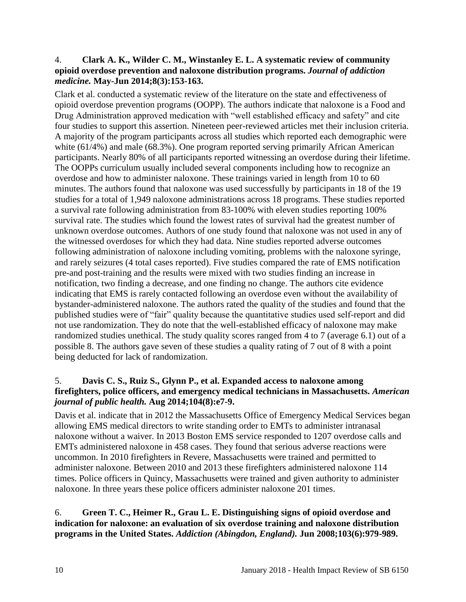#### <span id="page-11-0"></span>4. **Clark A. K., Wilder C. M., Winstanley E. L. A systematic review of community opioid overdose prevention and naloxone distribution programs.** *Journal of addiction medicine.* **May-Jun 2014;8(3):153-163.**

Clark et al. conducted a systematic review of the literature on the state and effectiveness of opioid overdose prevention programs (OOPP). The authors indicate that naloxone is a Food and Drug Administration approved medication with "well established efficacy and safety" and cite four studies to support this assertion. Nineteen peer-reviewed articles met their inclusion criteria. A majority of the program participants across all studies which reported each demographic were white (61/4%) and male (68.3%). One program reported serving primarily African American participants. Nearly 80% of all participants reported witnessing an overdose during their lifetime. The OOPPs curriculum usually included several components including how to recognize an overdose and how to administer naloxone. These trainings varied in length from 10 to 60 minutes. The authors found that naloxone was used successfully by participants in 18 of the 19 studies for a total of 1,949 naloxone administrations across 18 programs. These studies reported a survival rate following administration from 83-100% with eleven studies reporting 100% survival rate. The studies which found the lowest rates of survival had the greatest number of unknown overdose outcomes. Authors of one study found that naloxone was not used in any of the witnessed overdoses for which they had data. Nine studies reported adverse outcomes following administration of naloxone including vomiting, problems with the naloxone syringe, and rarely seizures (4 total cases reported). Five studies compared the rate of EMS notification pre-and post-training and the results were mixed with two studies finding an increase in notification, two finding a decrease, and one finding no change. The authors cite evidence indicating that EMS is rarely contacted following an overdose even without the availability of bystander-administered naloxone. The authors rated the quality of the studies and found that the published studies were of "fair" quality because the quantitative studies used self-report and did not use randomization. They do note that the well-established efficacy of naloxone may make randomized studies unethical. The study quality scores ranged from 4 to 7 (average 6.1) out of a possible 8. The authors gave seven of these studies a quality rating of 7 out of 8 with a point being deducted for lack of randomization.

#### 5. **Davis C. S., Ruiz S., Glynn P., et al. Expanded access to naloxone among firefighters, police officers, and emergency medical technicians in Massachusetts.** *American journal of public health.* **Aug 2014;104(8):e7-9.**

Davis et al. indicate that in 2012 the Massachusetts Office of Emergency Medical Services began allowing EMS medical directors to write standing order to EMTs to administer intranasal naloxone without a waiver. In 2013 Boston EMS service responded to 1207 overdose calls and EMTs administered naloxone in 458 cases. They found that serious adverse reactions were uncommon. In 2010 firefighters in Revere, Massachusetts were trained and permitted to administer naloxone. Between 2010 and 2013 these firefighters administered naloxone 114 times. Police officers in Quincy, Massachusetts were trained and given authority to administer naloxone. In three years these police officers administer naloxone 201 times.

#### <span id="page-11-1"></span>6. **Green T. C., Heimer R., Grau L. E. Distinguishing signs of opioid overdose and indication for naloxone: an evaluation of six overdose training and naloxone distribution programs in the United States.** *Addiction (Abingdon, England).* **Jun 2008;103(6):979-989.**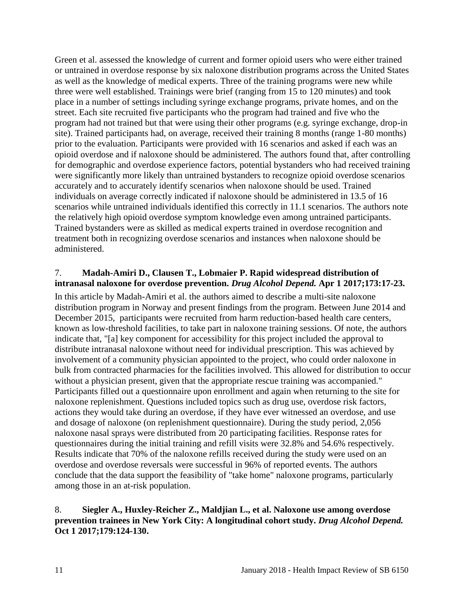Green et al. assessed the knowledge of current and former opioid users who were either trained or untrained in overdose response by six naloxone distribution programs across the United States as well as the knowledge of medical experts. Three of the training programs were new while three were well established. Trainings were brief (ranging from 15 to 120 minutes) and took place in a number of settings including syringe exchange programs, private homes, and on the street. Each site recruited five participants who the program had trained and five who the program had not trained but that were using their other programs (e.g. syringe exchange, drop-in site). Trained participants had, on average, received their training 8 months (range 1-80 months) prior to the evaluation. Participants were provided with 16 scenarios and asked if each was an opioid overdose and if naloxone should be administered. The authors found that, after controlling for demographic and overdose experience factors, potential bystanders who had received training were significantly more likely than untrained bystanders to recognize opioid overdose scenarios accurately and to accurately identify scenarios when naloxone should be used. Trained individuals on average correctly indicated if naloxone should be administered in 13.5 of 16 scenarios while untrained individuals identified this correctly in 11.1 scenarios. The authors note the relatively high opioid overdose symptom knowledge even among untrained participants. Trained bystanders were as skilled as medical experts trained in overdose recognition and treatment both in recognizing overdose scenarios and instances when naloxone should be administered.

#### <span id="page-12-0"></span>7. **Madah-Amiri D., Clausen T., Lobmaier P. Rapid widespread distribution of intranasal naloxone for overdose prevention.** *Drug Alcohol Depend.* **Apr 1 2017;173:17-23.**

In this article by Madah-Amiri et al. the authors aimed to describe a multi-site naloxone distribution program in Norway and present findings from the program. Between June 2014 and December 2015, participants were recruited from harm reduction-based health care centers, known as low-threshold facilities, to take part in naloxone training sessions. Of note, the authors indicate that, "[a] key component for accessibility for this project included the approval to distribute intranasal naloxone without need for individual prescription. This was achieved by involvement of a community physician appointed to the project, who could order naloxone in bulk from contracted pharmacies for the facilities involved. This allowed for distribution to occur without a physician present, given that the appropriate rescue training was accompanied." Participants filled out a questionnaire upon enrollment and again when returning to the site for naloxone replenishment. Questions included topics such as drug use, overdose risk factors, actions they would take during an overdose, if they have ever witnessed an overdose, and use and dosage of naloxone (on replenishment questionnaire). During the study period, 2,056 naloxone nasal sprays were distributed from 20 participating facilities. Response rates for questionnaires during the initial training and refill visits were 32.8% and 54.6% respectively. Results indicate that 70% of the naloxone refills received during the study were used on an overdose and overdose reversals were successful in 96% of reported events. The authors conclude that the data support the feasibility of "take home" naloxone programs, particularly among those in an at-risk population.

#### <span id="page-12-1"></span>8. **Siegler A., Huxley-Reicher Z., Maldjian L., et al. Naloxone use among overdose prevention trainees in New York City: A longitudinal cohort study.** *Drug Alcohol Depend.*  **Oct 1 2017;179:124-130.**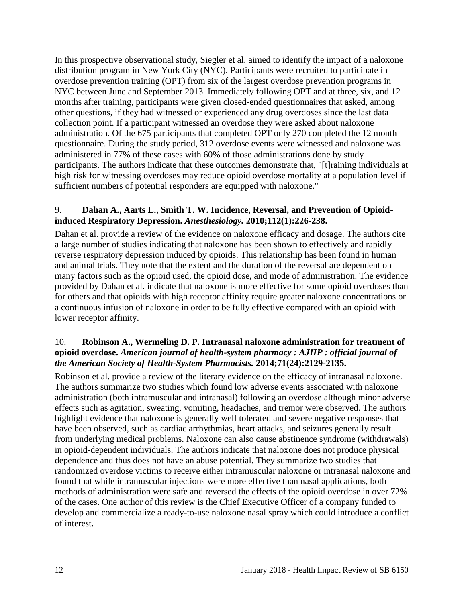In this prospective observational study, Siegler et al. aimed to identify the impact of a naloxone distribution program in New York City (NYC). Participants were recruited to participate in overdose prevention training (OPT) from six of the largest overdose prevention programs in NYC between June and September 2013. Immediately following OPT and at three, six, and 12 months after training, participants were given closed-ended questionnaires that asked, among other questions, if they had witnessed or experienced any drug overdoses since the last data collection point. If a participant witnessed an overdose they were asked about naloxone administration. Of the 675 participants that completed OPT only 270 completed the 12 month questionnaire. During the study period, 312 overdose events were witnessed and naloxone was administered in 77% of these cases with 60% of those administrations done by study participants. The authors indicate that these outcomes demonstrate that, "[t]raining individuals at high risk for witnessing overdoses may reduce opioid overdose mortality at a population level if sufficient numbers of potential responders are equipped with naloxone."

#### <span id="page-13-0"></span>9. **Dahan A., Aarts L., Smith T. W. Incidence, Reversal, and Prevention of Opioidinduced Respiratory Depression.** *Anesthesiology.* **2010;112(1):226-238.**

Dahan et al. provide a review of the evidence on naloxone efficacy and dosage. The authors cite a large number of studies indicating that naloxone has been shown to effectively and rapidly reverse respiratory depression induced by opioids. This relationship has been found in human and animal trials. They note that the extent and the duration of the reversal are dependent on many factors such as the opioid used, the opioid dose, and mode of administration. The evidence provided by Dahan et al. indicate that naloxone is more effective for some opioid overdoses than for others and that opioids with high receptor affinity require greater naloxone concentrations or a continuous infusion of naloxone in order to be fully effective compared with an opioid with lower receptor affinity.

#### <span id="page-13-1"></span>10. **Robinson A., Wermeling D. P. Intranasal naloxone administration for treatment of opioid overdose.** *American journal of health-system pharmacy : AJHP : official journal of the American Society of Health-System Pharmacists.* **2014;71(24):2129-2135.**

Robinson et al. provide a review of the literary evidence on the efficacy of intranasal naloxone. The authors summarize two studies which found low adverse events associated with naloxone administration (both intramuscular and intranasal) following an overdose although minor adverse effects such as agitation, sweating, vomiting, headaches, and tremor were observed. The authors highlight evidence that naloxone is generally well tolerated and severe negative responses that have been observed, such as cardiac arrhythmias, heart attacks, and seizures generally result from underlying medical problems. Naloxone can also cause abstinence syndrome (withdrawals) in opioid-dependent individuals. The authors indicate that naloxone does not produce physical dependence and thus does not have an abuse potential. They summarize two studies that randomized overdose victims to receive either intramuscular naloxone or intranasal naloxone and found that while intramuscular injections were more effective than nasal applications, both methods of administration were safe and reversed the effects of the opioid overdose in over 72% of the cases. One author of this review is the Chief Executive Officer of a company funded to develop and commercialize a ready-to-use naloxone nasal spray which could introduce a conflict of interest.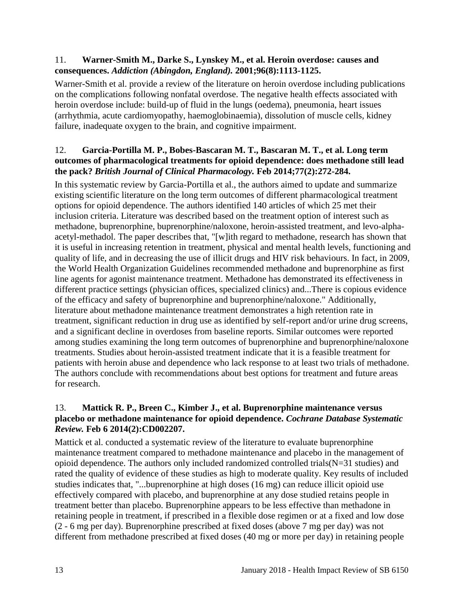#### 11. **Warner-Smith M., Darke S., Lynskey M., et al. Heroin overdose: causes and consequences.** *Addiction (Abingdon, England).* **2001;96(8):1113-1125.**

Warner-Smith et al. provide a review of the literature on heroin overdose including publications on the complications following nonfatal overdose. The negative health effects associated with heroin overdose include: build-up of fluid in the lungs (oedema), pneumonia, heart issues (arrhythmia, acute cardiomyopathy, haemoglobinaemia), dissolution of muscle cells, kidney failure, inadequate oxygen to the brain, and cognitive impairment.

#### <span id="page-14-0"></span>12. **Garcia-Portilla M. P., Bobes-Bascaran M. T., Bascaran M. T., et al. Long term outcomes of pharmacological treatments for opioid dependence: does methadone still lead the pack?** *British Journal of Clinical Pharmacology.* **Feb 2014;77(2):272-284.**

In this systematic review by Garcia-Portilla et al., the authors aimed to update and summarize existing scientific literature on the long term outcomes of different pharmacological treatment options for opioid dependence. The authors identified 140 articles of which 25 met their inclusion criteria. Literature was described based on the treatment option of interest such as methadone, buprenorphine, buprenorphine/naloxone, heroin-assisted treatment, and levo-alphaacetyl-methadol. The paper describes that, "[w]ith regard to methadone, research has shown that it is useful in increasing retention in treatment, physical and mental health levels, functioning and quality of life, and in decreasing the use of illicit drugs and HIV risk behaviours. In fact, in 2009, the World Health Organization Guidelines recommended methadone and buprenorphine as first line agents for agonist maintenance treatment. Methadone has demonstrated its effectiveness in different practice settings (physician offices, specialized clinics) and...There is copious evidence of the efficacy and safety of buprenorphine and buprenorphine/naloxone." Additionally, literature about methadone maintenance treatment demonstrates a high retention rate in treatment, significant reduction in drug use as identified by self-report and/or urine drug screens, and a significant decline in overdoses from baseline reports. Similar outcomes were reported among studies examining the long term outcomes of buprenorphine and buprenorphine/naloxone treatments. Studies about heroin-assisted treatment indicate that it is a feasible treatment for patients with heroin abuse and dependence who lack response to at least two trials of methadone. The authors conclude with recommendations about best options for treatment and future areas for research.

#### <span id="page-14-1"></span>13. **Mattick R. P., Breen C., Kimber J., et al. Buprenorphine maintenance versus placebo or methadone maintenance for opioid dependence.** *Cochrane Database Systematic Review.* **Feb 6 2014(2):CD002207.**

Mattick et al. conducted a systematic review of the literature to evaluate buprenorphine maintenance treatment compared to methadone maintenance and placebo in the management of opioid dependence. The authors only included randomized controlled trials  $(N=31)$  studies) and rated the quality of evidence of these studies as high to moderate quality. Key results of included studies indicates that, "...buprenorphine at high doses (16 mg) can reduce illicit opioid use effectively compared with placebo, and buprenorphine at any dose studied retains people in treatment better than placebo. Buprenorphine appears to be less effective than methadone in retaining people in treatment, if prescribed in a flexible dose regimen or at a fixed and low dose (2 - 6 mg per day). Buprenorphine prescribed at fixed doses (above 7 mg per day) was not different from methadone prescribed at fixed doses (40 mg or more per day) in retaining people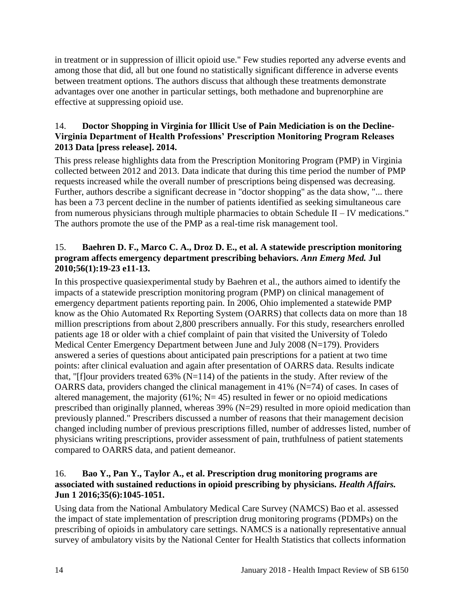in treatment or in suppression of illicit opioid use." Few studies reported any adverse events and among those that did, all but one found no statistically significant difference in adverse events between treatment options. The authors discuss that although these treatments demonstrate advantages over one another in particular settings, both methadone and buprenorphine are effective at suppressing opioid use.

#### 14. **Doctor Shopping in Virginia for Illicit Use of Pain Mediciation is on the Decline-Virginia Department of Health Professions' Prescription Monitoring Program Releases 2013 Data [press release]. 2014.**

This press release highlights data from the Prescription Monitoring Program (PMP) in Virginia collected between 2012 and 2013. Data indicate that during this time period the number of PMP requests increased while the overall number of prescriptions being dispensed was decreasing. Further, authors describe a significant decrease in "doctor shopping" as the data show, "... there has been a 73 percent decline in the number of patients identified as seeking simultaneous care from numerous physicians through multiple pharmacies to obtain Schedule II – IV medications." The authors promote the use of the PMP as a real-time risk management tool.

#### 15. **Baehren D. F., Marco C. A., Droz D. E., et al. A statewide prescription monitoring program affects emergency department prescribing behaviors.** *Ann Emerg Med.* **Jul 2010;56(1):19-23 e11-13.**

In this prospective quasiexperimental study by Baehren et al., the authors aimed to identify the impacts of a statewide prescription monitoring program (PMP) on clinical management of emergency department patients reporting pain. In 2006, Ohio implemented a statewide PMP know as the Ohio Automated Rx Reporting System (OARRS) that collects data on more than 18 million prescriptions from about 2,800 prescribers annually. For this study, researchers enrolled patients age 18 or older with a chief complaint of pain that visited the University of Toledo Medical Center Emergency Department between June and July 2008 (N=179). Providers answered a series of questions about anticipated pain prescriptions for a patient at two time points: after clinical evaluation and again after presentation of OARRS data. Results indicate that, "[f]our providers treated  $63\%$  (N=114) of the patients in the study. After review of the OARRS data, providers changed the clinical management in 41% ( $N=74$ ) of cases. In cases of altered management, the majority  $(61\%; N=45)$  resulted in fewer or no opioid medications prescribed than originally planned, whereas  $39\%$  (N=29) resulted in more opioid medication than previously planned." Prescribers discussed a number of reasons that their management decision changed including number of previous prescriptions filled, number of addresses listed, number of physicians writing prescriptions, provider assessment of pain, truthfulness of patient statements compared to OARRS data, and patient demeanor.

#### 16. **Bao Y., Pan Y., Taylor A., et al. Prescription drug monitoring programs are associated with sustained reductions in opioid prescribing by physicians.** *Health Affairs.*  **Jun 1 2016;35(6):1045-1051.**

Using data from the National Ambulatory Medical Care Survey (NAMCS) Bao et al. assessed the impact of state implementation of prescription drug monitoring programs (PDMPs) on the prescribing of opioids in ambulatory care settings. NAMCS is a nationally representative annual survey of ambulatory visits by the National Center for Health Statistics that collects information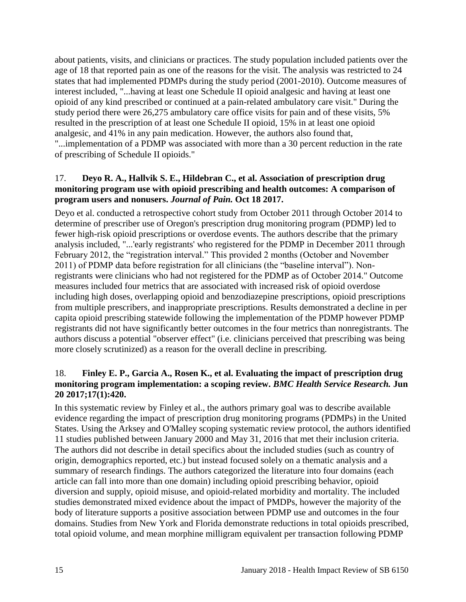about patients, visits, and clinicians or practices. The study population included patients over the age of 18 that reported pain as one of the reasons for the visit. The analysis was restricted to 24 states that had implemented PDMPs during the study period (2001-2010). Outcome measures of interest included, "...having at least one Schedule II opioid analgesic and having at least one opioid of any kind prescribed or continued at a pain-related ambulatory care visit." During the study period there were 26,275 ambulatory care office visits for pain and of these visits, 5% resulted in the prescription of at least one Schedule II opioid, 15% in at least one opioid analgesic, and 41% in any pain medication. However, the authors also found that, "...implementation of a PDMP was associated with more than a 30 percent reduction in the rate of prescribing of Schedule II opioids."

#### 17. **Deyo R. A., Hallvik S. E., Hildebran C., et al. Association of prescription drug monitoring program use with opioid prescribing and health outcomes: A comparison of program users and nonusers.** *Journal of Pain.* **Oct 18 2017.**

Deyo et al. conducted a retrospective cohort study from October 2011 through October 2014 to determine of prescriber use of Oregon's prescription drug monitoring program (PDMP) led to fewer high-risk opioid prescriptions or overdose events. The authors describe that the primary analysis included, "...'early registrants' who registered for the PDMP in December 2011 through February 2012, the "registration interval." This provided 2 months (October and November 2011) of PDMP data before registration for all clinicians (the "baseline interval"). Nonregistrants were clinicians who had not registered for the PDMP as of October 2014." Outcome measures included four metrics that are associated with increased risk of opioid overdose including high doses, overlapping opioid and benzodiazepine prescriptions, opioid prescriptions from multiple prescribers, and inappropriate prescriptions. Results demonstrated a decline in per capita opioid prescribing statewide following the implementation of the PDMP however PDMP registrants did not have significantly better outcomes in the four metrics than nonregistrants. The authors discuss a potential "observer effect" (i.e. clinicians perceived that prescribing was being more closely scrutinized) as a reason for the overall decline in prescribing.

#### <span id="page-16-0"></span>18. **Finley E. P., Garcia A., Rosen K., et al. Evaluating the impact of prescription drug monitoring program implementation: a scoping review.** *BMC Health Service Research.* **Jun 20 2017;17(1):420.**

In this systematic review by Finley et al., the authors primary goal was to describe available evidence regarding the impact of prescription drug monitoring programs (PDMPs) in the United States. Using the Arksey and O'Malley scoping systematic review protocol, the authors identified 11 studies published between January 2000 and May 31, 2016 that met their inclusion criteria. The authors did not describe in detail specifics about the included studies (such as country of origin, demographics reported, etc.) but instead focused solely on a thematic analysis and a summary of research findings. The authors categorized the literature into four domains (each article can fall into more than one domain) including opioid prescribing behavior, opioid diversion and supply, opioid misuse, and opioid-related morbidity and mortality. The included studies demonstrated mixed evidence about the impact of PMDPs, however the majority of the body of literature supports a positive association between PDMP use and outcomes in the four domains. Studies from New York and Florida demonstrate reductions in total opioids prescribed, total opioid volume, and mean morphine milligram equivalent per transaction following PDMP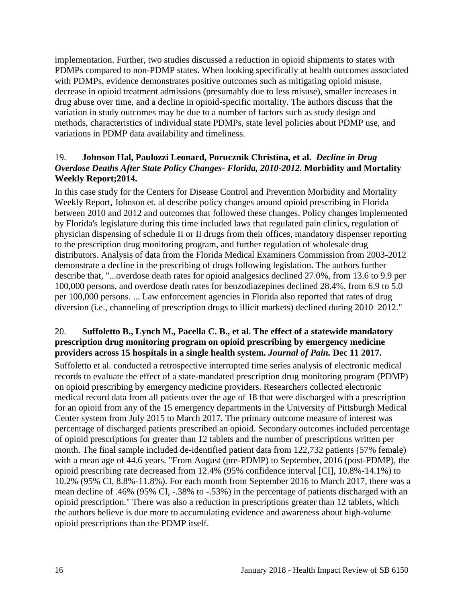implementation. Further, two studies discussed a reduction in opioid shipments to states with PDMPs compared to non-PDMP states. When looking specifically at health outcomes associated with PDMPs, evidence demonstrates positive outcomes such as mitigating opioid misuse, decrease in opioid treatment admissions (presumably due to less misuse), smaller increases in drug abuse over time, and a decline in opioid-specific mortality. The authors discuss that the variation in study outcomes may be due to a number of factors such as study design and methods, characteristics of individual state PDMPs, state level policies about PDMP use, and variations in PDMP data availability and timeliness.

#### <span id="page-17-0"></span>19. **Johnson Hal, Paulozzi Leonard, Porucznik Christina, et al.** *Decline in Drug Overdose Deaths After State Policy Changes- Florida, 2010-2012.* **Morbidity and Mortality Weekly Report;2014.**

In this case study for the Centers for Disease Control and Prevention Morbidity and Mortality Weekly Report, Johnson et. al describe policy changes around opioid prescribing in Florida between 2010 and 2012 and outcomes that followed these changes. Policy changes implemented by Florida's legislature during this time included laws that regulated pain clinics, regulation of physician dispensing of schedule II or II drugs from their offices, mandatory dispenser reporting to the prescription drug monitoring program, and further regulation of wholesale drug distributors. Analysis of data from the Florida Medical Examiners Commission from 2003-2012 demonstrate a decline in the prescribing of drugs following legislation. The authors further describe that, "...overdose death rates for opioid analgesics declined 27.0%, from 13.6 to 9.9 per 100,000 persons, and overdose death rates for benzodiazepines declined 28.4%, from 6.9 to 5.0 per 100,000 persons. ... Law enforcement agencies in Florida also reported that rates of drug diversion (i.e., channeling of prescription drugs to illicit markets) declined during 2010–2012."

#### 20. **Suffoletto B., Lynch M., Pacella C. B., et al. The effect of a statewide mandatory prescription drug monitoring program on opioid prescribing by emergency medicine providers across 15 hospitals in a single health system.** *Journal of Pain.* **Dec 11 2017.**

Suffoletto et al. conducted a retrospective interrupted time series analysis of electronic medical records to evaluate the effect of a state-mandated prescription drug monitoring program (PDMP) on opioid prescribing by emergency medicine providers. Researchers collected electronic medical record data from all patients over the age of 18 that were discharged with a prescription for an opioid from any of the 15 emergency departments in the University of Pittsburgh Medical Center system from July 2015 to March 2017. The primary outcome measure of interest was percentage of discharged patients prescribed an opioid. Secondary outcomes included percentage of opioid prescriptions for greater than 12 tablets and the number of prescriptions written per month. The final sample included de-identified patient data from 122,732 patients (57% female) with a mean age of 44.6 years. "From August (pre-PDMP) to September, 2016 (post-PDMP), the opioid prescribing rate decreased from 12.4% (95% confidence interval [CI], 10.8%-14.1%) to 10.2% (95% CI, 8.8%-11.8%). For each month from September 2016 to March 2017, there was a mean decline of .46% (95% CI, -.38% to -.53%) in the percentage of patients discharged with an opioid prescription." There was also a reduction in prescriptions greater than 12 tablets, which the authors believe is due more to accumulating evidence and awareness about high-volume opioid prescriptions than the PDMP itself.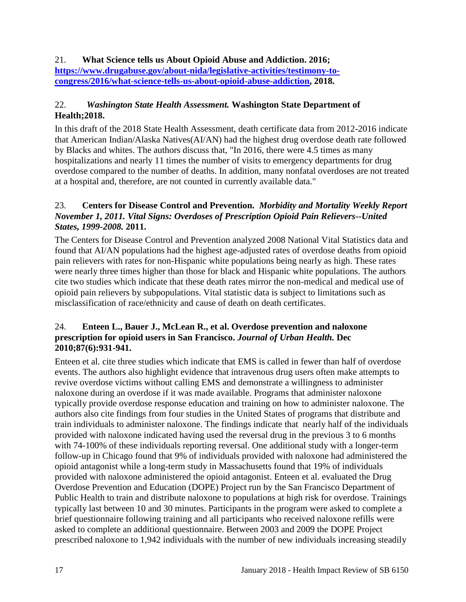#### 21. **What Science tells us About Opioid Abuse and Addiction. 2016; [https://www.drugabuse.gov/about-nida/legislative-activities/testimony-to](https://www.drugabuse.gov/about-nida/legislative-activities/testimony-to-congress/2016/what-science-tells-us-about-opioid-abuse-addiction)[congress/2016/what-science-tells-us-about-opioid-abuse-addiction,](https://www.drugabuse.gov/about-nida/legislative-activities/testimony-to-congress/2016/what-science-tells-us-about-opioid-abuse-addiction) 2018.**

#### 22.*Washington State Health Assessment.* **Washington State Department of Health;2018.**

In this draft of the 2018 State Health Assessment, death certificate data from 2012-2016 indicate that American Indian/Alaska Natives(AI/AN) had the highest drug overdose death rate followed by Blacks and whites. The authors discuss that, "In 2016, there were 4.5 times as many hospitalizations and nearly 11 times the number of visits to emergency departments for drug overdose compared to the number of deaths. In addition, many nonfatal overdoses are not treated at a hospital and, therefore, are not counted in currently available data."

#### 23. **Centers for Disease Control and Prevention.** *Morbidity and Mortality Weekly Report November 1, 2011. Vital Signs: Overdoses of Prescription Opioid Pain Relievers--United States, 1999-2008.* **2011.**

The Centers for Disease Control and Prevention analyzed 2008 National Vital Statistics data and found that AI/AN populations had the highest age-adjusted rates of overdose deaths from opioid pain relievers with rates for non-Hispanic white populations being nearly as high. These rates were nearly three times higher than those for black and Hispanic white populations. The authors cite two studies which indicate that these death rates mirror the non-medical and medical use of opioid pain relievers by subpopulations. Vital statistic data is subject to limitations such as misclassification of race/ethnicity and cause of death on death certificates.

#### 24. **Enteen L., Bauer J., McLean R., et al. Overdose prevention and naloxone prescription for opioid users in San Francisco.** *Journal of Urban Health.* **Dec 2010;87(6):931-941.**

Enteen et al. cite three studies which indicate that EMS is called in fewer than half of overdose events. The authors also highlight evidence that intravenous drug users often make attempts to revive overdose victims without calling EMS and demonstrate a willingness to administer naloxone during an overdose if it was made available. Programs that administer naloxone typically provide overdose response education and training on how to administer naloxone. The authors also cite findings from four studies in the United States of programs that distribute and train individuals to administer naloxone. The findings indicate that nearly half of the individuals provided with naloxone indicated having used the reversal drug in the previous 3 to 6 months with 74-100% of these individuals reporting reversal. One additional study with a longer-term follow-up in Chicago found that 9% of individuals provided with naloxone had administered the opioid antagonist while a long-term study in Massachusetts found that 19% of individuals provided with naloxone administered the opioid antagonist. Enteen et al. evaluated the Drug Overdose Prevention and Education (DOPE) Project run by the San Francisco Department of Public Health to train and distribute naloxone to populations at high risk for overdose. Trainings typically last between 10 and 30 minutes. Participants in the program were asked to complete a brief questionnaire following training and all participants who received naloxone refills were asked to complete an additional questionnaire. Between 2003 and 2009 the DOPE Project prescribed naloxone to 1,942 individuals with the number of new individuals increasing steadily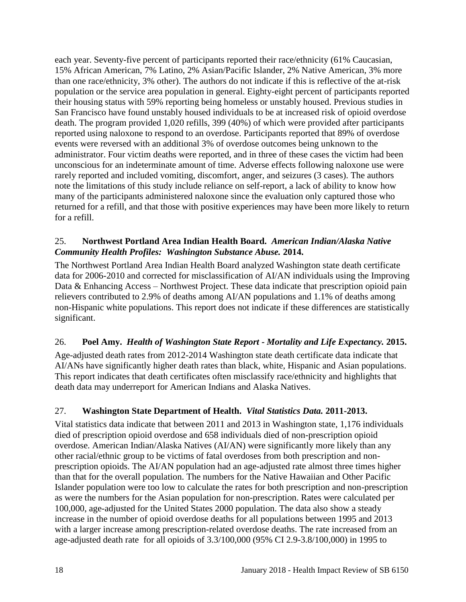each year. Seventy-five percent of participants reported their race/ethnicity (61% Caucasian, 15% African American, 7% Latino, 2% Asian/Pacific Islander, 2% Native American, 3% more than one race/ethnicity, 3% other). The authors do not indicate if this is reflective of the at-risk population or the service area population in general. Eighty-eight percent of participants reported their housing status with 59% reporting being homeless or unstably housed. Previous studies in San Francisco have found unstably housed individuals to be at increased risk of opioid overdose death. The program provided 1,020 refills, 399 (40%) of which were provided after participants reported using naloxone to respond to an overdose. Participants reported that 89% of overdose events were reversed with an additional 3% of overdose outcomes being unknown to the administrator. Four victim deaths were reported, and in three of these cases the victim had been unconscious for an indeterminate amount of time. Adverse effects following naloxone use were rarely reported and included vomiting, discomfort, anger, and seizures (3 cases). The authors note the limitations of this study include reliance on self-report, a lack of ability to know how many of the participants administered naloxone since the evaluation only captured those who returned for a refill, and that those with positive experiences may have been more likely to return for a refill.

#### 25. **Northwest Portland Area Indian Health Board.** *American Indian/Alaska Native Community Health Profiles: Washington Substance Abuse.* **2014.**

The Northwest Portland Area Indian Health Board analyzed Washington state death certificate data for 2006-2010 and corrected for misclassification of AI/AN individuals using the Improving Data & Enhancing Access – Northwest Project. These data indicate that prescription opioid pain relievers contributed to 2.9% of deaths among AI/AN populations and 1.1% of deaths among non-Hispanic white populations. This report does not indicate if these differences are statistically significant.

#### 26. **Poel Amy.** *Health of Washington State Report - Mortality and Life Expectancy.* **2015.**

Age-adjusted death rates from 2012-2014 Washington state death certificate data indicate that AI/ANs have significantly higher death rates than black, white, Hispanic and Asian populations. This report indicates that death certificates often misclassify race/ethnicity and highlights that death data may underreport for American Indians and Alaska Natives.

## 27. **Washington State Department of Health.** *Vital Statistics Data.* **2011-2013.**

Vital statistics data indicate that between 2011 and 2013 in Washington state, 1,176 individuals died of prescription opioid overdose and 658 individuals died of non-prescription opioid overdose. American Indian/Alaska Natives (AI/AN) were significantly more likely than any other racial/ethnic group to be victims of fatal overdoses from both prescription and nonprescription opioids. The AI/AN population had an age-adjusted rate almost three times higher than that for the overall population. The numbers for the Native Hawaiian and Other Pacific Islander population were too low to calculate the rates for both prescription and non-prescription as were the numbers for the Asian population for non-prescription. Rates were calculated per 100,000, age-adjusted for the United States 2000 population. The data also show a steady increase in the number of opioid overdose deaths for all populations between 1995 and 2013 with a larger increase among prescription-related overdose deaths. The rate increased from an age-adjusted death rate for all opioids of 3.3/100,000 (95% CI 2.9-3.8/100,000) in 1995 to